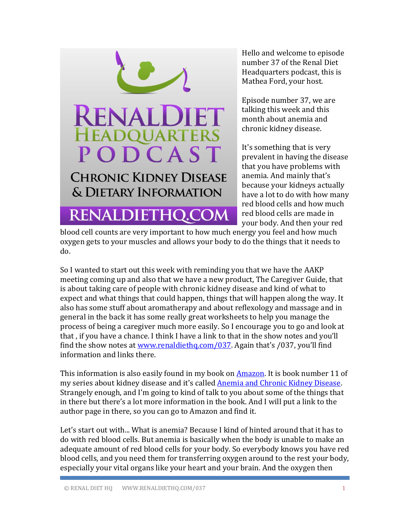

Hello and welcome to episode number 37 of the Renal Diet Headquarters podcast, this is Mathea Ford, your host.

Episode number 37, we are talking this week and this month about anemia and chronic kidney disease.

It's something that is very prevalent in having the disease that you have problems with anemia. And mainly that's because your kidneys actually have a lot to do with how many red blood cells and how much red blood cells are made in your body. And then your red

blood cell counts are very important to how much energy you feel and how much oxygen gets to your muscles and allows your body to do the things that it needs to do.

So I wanted to start out this week with reminding you that we have the AAKP meeting coming up and also that we have a new product, The Caregiver Guide, that is about taking care of people with chronic kidney disease and kind of what to expect and what things that could happen, things that will happen along the way. It also has some stuff about aromatherapy and about reflexology and massage and in general in the back it has some really great worksheets to help you manage the process of being a caregiver much more easily. So I encourage you to go and look at that , if you have a chance. I think I have a link to that in the show notes and you'll find the show notes at<www.renaldiethq.com/037>. Again that's /037, you'll find information and links there.

This information is also easily found in my book on **Amazon**. It is book number 11 of my series about kidney disease and it's called **Anemia and Chronic Kidney Disease**. Strangely enough, and I'm going to kind of talk to you about some of the things that in there but there's a lot more information in the book. And I will put a link to the author page in there, so you can go to Amazon and find it.

Let's start out with... What is anemia? Because I kind of hinted around that it has to do with red blood cells. But anemia is basically when the body is unable to make an adequate amount of red blood cells for your body. So everybody knows you have red blood cells, and you need them for transferring oxygen around to the rest your body, especially your vital organs like your heart and your brain. And the oxygen then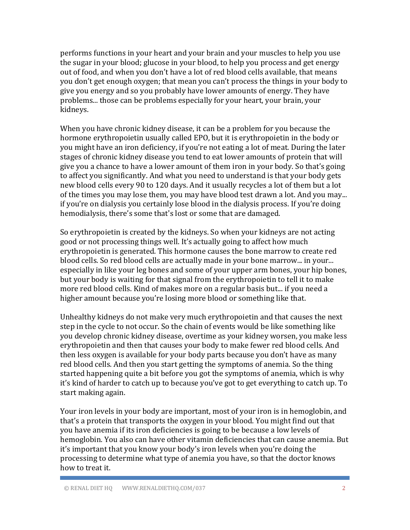performs functions in your heart and your brain and your muscles to help you use the sugar in your blood; glucose in your blood, to help you process and get energy out of food, and when you don't have a lot of red blood cells available, that means you don't get enough oxygen; that mean you can't process the things in your body to give you energy and so you probably have lower amounts of energy. They have problems... those can be problems especially for your heart, your brain, your kidneys.

When you have chronic kidney disease, it can be a problem for you because the hormone erythropoietin usually called EPO, but it is erythropoietin in the body or you might have an iron deficiency, if you're not eating a lot of meat. During the later stages of chronic kidney disease you tend to eat lower amounts of protein that will give you a chance to have a lower amount of them iron in your body. So that's going to affect you significantly. And what you need to understand is that your body gets new blood cells every 90 to 120 days. And it usually recycles a lot of them but a lot of the times you may lose them, you may have blood test drawn a lot. And you may... if you're on dialysis you certainly lose blood in the dialysis process. If you're doing hemodialysis, there's some that's lost or some that are damaged.

So erythropoietin is created by the kidneys. So when your kidneys are not acting good or not processing things well. It's actually going to affect how much erythropoietin is generated. This hormone causes the bone marrow to create red blood cells. So red blood cells are actually made in your bone marrow... in your... especially in like your leg bones and some of your upper arm bones, your hip bones, but your body is waiting for that signal from the erythropoietin to tell it to make more red blood cells. Kind of makes more on a regular basis but... if you need a higher amount because you're losing more blood or something like that.

Unhealthy kidneys do not make very much erythropoietin and that causes the next step in the cycle to not occur. So the chain of events would be like something like you develop chronic kidney disease, overtime as your kidney worsen, you make less erythropoietin and then that causes your body to make fewer red blood cells. And then less oxygen is available for your body parts because you don't have as many red blood cells. And then you start getting the symptoms of anemia. So the thing started happening quite a bit before you got the symptoms of anemia, which is why it's kind of harder to catch up to because you've got to get everything to catch up. To start making again.

Your iron levels in your body are important, most of your iron is in hemoglobin, and that's a protein that transports the oxygen in your blood. You might find out that you have anemia if its iron deficiencies is going to be because a low levels of hemoglobin. You also can have other vitamin deficiencies that can cause anemia. But it's important that you know your body's iron levels when you're doing the processing to determine what type of anemia you have, so that the doctor knows how to treat it.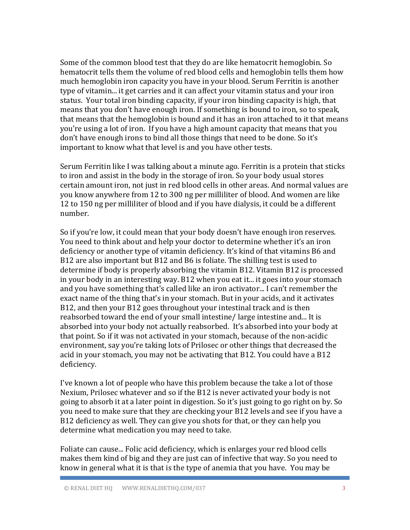Some of the common blood test that they do are like hematocrit hemoglobin. So hematocrit tells them the volume of red blood cells and hemoglobin tells them how much hemoglobin iron capacity you have in your blood. Serum Ferritin is another type of vitamin... it get carries and it can affect your vitamin status and your iron status. Your total iron binding capacity, if your iron binding capacity is high, that means that you don't have enough iron. If something is bound to iron, so to speak, that means that the hemoglobin is bound and it has an iron attached to it that means you're using a lot of iron. If you have a high amount capacity that means that you don't have enough irons to bind all those things that need to be done. So it's important to know what that level is and you have other tests.

Serum Ferritin like I was talking about a minute ago. Ferritin is a protein that sticks to iron and assist in the body in the storage of iron. So your body usual stores certain amount iron, not just in red blood cells in other areas. And normal values are you know anywhere from 12 to 300 ng per milliliter of blood. And women are like 12 to 150 ng per milliliter of blood and if you have dialysis, it could be a different number.

So if you're low, it could mean that your body doesn't have enough iron reserves. You need to think about and help your doctor to determine whether it's an iron deficiency or another type of vitamin deficiency. It's kind of that vitamins B6 and B12 are also important but B12 and B6 is foliate. The shilling test is used to determine if body is properly absorbing the vitamin B12. Vitamin B12 is processed in your body in an interesting way. B12 when you eat it... it goes into your stomach and you have something that's called like an iron activator... I can't remember the exact name of the thing that's in your stomach. But in your acids, and it activates B12, and then your B12 goes throughout your intestinal track and is then reabsorbed toward the end of your small intestine/ large intestine and... It is absorbed into your body not actually reabsorbed. It's absorbed into your body at that point. So if it was not activated in your stomach, because of the non-acidic environment, say you're taking lots of Prilosec or other things that decreased the acid in your stomach, you may not be activating that B12. You could have a B12 deficiency.

I've known a lot of people who have this problem because the take a lot of those Nexium, Prilosec whatever and so if the B12 is never activated your body is not going to absorb it at a later point in digestion. So it's just going to go right on by. So you need to make sure that they are checking your B12 levels and see if you have a B12 deficiency as well. They can give you shots for that, or they can help you determine what medication you may need to take.

Foliate can cause... Folic acid deficiency, which is enlarges your red blood cells makes them kind of big and they are just can of infective that way. So you need to know in general what it is that is the type of anemia that you have. You may be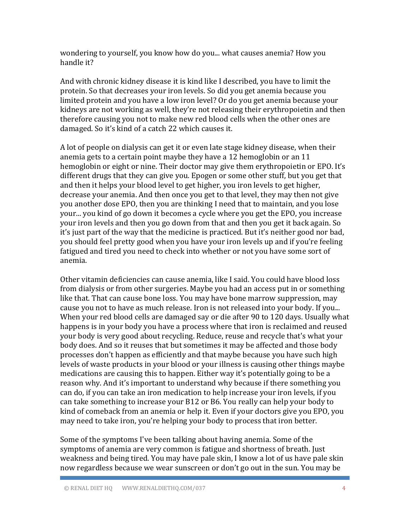wondering to yourself, you know how do you... what causes anemia? How you handle it?

And with chronic kidney disease it is kind like I described, you have to limit the protein. So that decreases your iron levels. So did you get anemia because you limited protein and you have a low iron level? Or do you get anemia because your kidneys are not working as well, they're not releasing their erythropoietin and then therefore causing you not to make new red blood cells when the other ones are damaged. So it's kind of a catch 22 which causes it.

A lot of people on dialysis can get it or even late stage kidney disease, when their anemia gets to a certain point maybe they have a 12 hemoglobin or an 11 hemoglobin or eight or nine. Their doctor may give them erythropoietin or EPO. It's different drugs that they can give you. Epogen or some other stuff, but you get that and then it helps your blood level to get higher, you iron levels to get higher, decrease your anemia. And then once you get to that level, they may then not give you another dose EPO, then you are thinking I need that to maintain, and you lose your... you kind of go down it becomes a cycle where you get the EPO, you increase your iron levels and then you go down from that and then you get it back again. So it's just part of the way that the medicine is practiced. But it's neither good nor bad, you should feel pretty good when you have your iron levels up and if you're feeling fatigued and tired you need to check into whether or not you have some sort of anemia.

Other vitamin deficiencies can cause anemia, like I said. You could have blood loss from dialysis or from other surgeries. Maybe you had an access put in or something like that. That can cause bone loss. You may have bone marrow suppression, may cause you not to have as much release. Iron is not released into your body. If you... When your red blood cells are damaged say or die after 90 to 120 days. Usually what happens is in your body you have a process where that iron is reclaimed and reused your body is very good about recycling. Reduce, reuse and recycle that's what your body does. And so it reuses that but sometimes it may be affected and those body processes don't happen as efficiently and that maybe because you have such high levels of waste products in your blood or your illness is causing other things maybe medications are causing this to happen. Either way it's potentially going to be a reason why. And it's important to understand why because if there something you can do, if you can take an iron medication to help increase your iron levels, if you can take something to increase your B12 or B6. You really can help your body to kind of comeback from an anemia or help it. Even if your doctors give you EPO, you may need to take iron, you're helping your body to process that iron better.

Some of the symptoms I've been talking about having anemia. Some of the symptoms of anemia are very common is fatigue and shortness of breath. Just weakness and being tired. You may have pale skin, I know a lot of us have pale skin now regardless because we wear sunscreen or don't go out in the sun. You may be